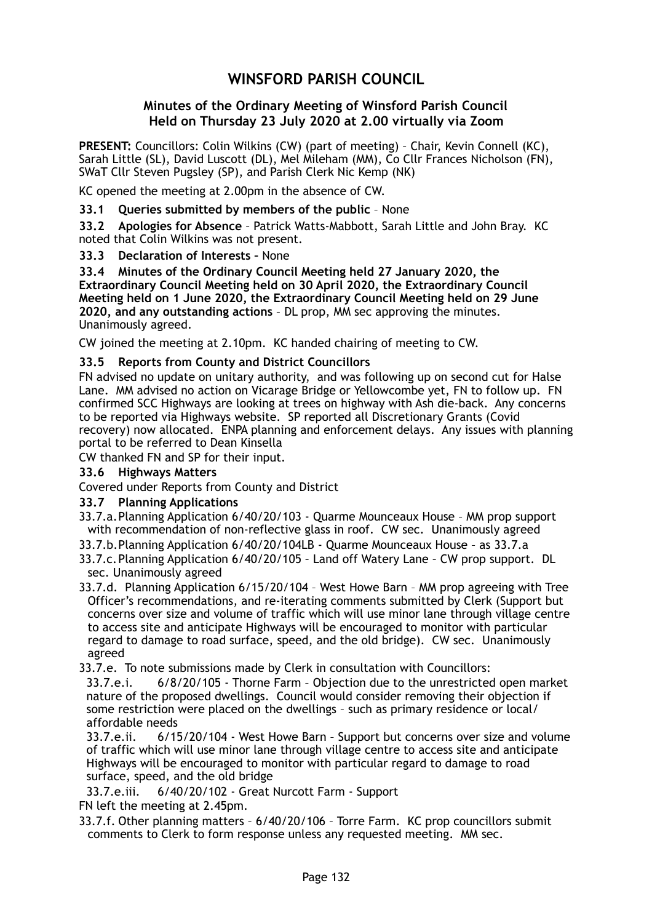# **WINSFORD PARISH COUNCIL**

## **Minutes of the Ordinary Meeting of Winsford Parish Council Held on Thursday 23 July 2020 at 2.00 virtually via Zoom**

**PRESENT:** Councillors: Colin Wilkins (CW) (part of meeting) – Chair, Kevin Connell (KC), Sarah Little (SL), David Luscott (DL), Mel Mileham (MM), Co Cllr Frances Nicholson (FN), SWaT Cllr Steven Pugsley (SP), and Parish Clerk Nic Kemp (NK)

KC opened the meeting at 2.00pm in the absence of CW.

**33.1 Queries submitted by members of the public** – None

**33.2 Apologies for Absence** – Patrick Watts-Mabbott, Sarah Little and John Bray. KC noted that Colin Wilkins was not present.

#### **33.3 Declaration of Interests –** None

**33.4 Minutes of the Ordinary Council Meeting held 27 January 2020, the Extraordinary Council Meeting held on 30 April 2020, the Extraordinary Council Meeting held on 1 June 2020, the Extraordinary Council Meeting held on 29 June 2020, and any outstanding actions** – DL prop, MM sec approving the minutes. Unanimously agreed.

CW joined the meeting at 2.10pm. KC handed chairing of meeting to CW.

#### **33.5 Reports from County and District Councillors**

FN advised no update on unitary authority, and was following up on second cut for Halse Lane. MM advised no action on Vicarage Bridge or Yellowcombe yet, FN to follow up. FN confirmed SCC Highways are looking at trees on highway with Ash die-back. Any concerns to be reported via Highways website. SP reported all Discretionary Grants (Covid recovery) now allocated. ENPA planning and enforcement delays. Any issues with planning portal to be referred to Dean Kinsella

CW thanked FN and SP for their input.

### **33.6 Highways Matters**

Covered under Reports from County and District

#### **33.7 Planning Applications**

- 33.7.a. Planning Application 6/40/20/103 Quarme Mounceaux House MM prop support with recommendation of non-reflective glass in roof. CW sec. Unanimously agreed
- 33.7.b. Planning Application 6/40/20/104LB Quarme Mounceaux House as 33.7.a

33.7.c. Planning Application 6/40/20/105 – Land off Watery Lane – CW prop support. DL sec. Unanimously agreed

33.7.d. Planning Application 6/15/20/104 – West Howe Barn – MM prop agreeing with Tree Officer's recommendations, and re-iterating comments submitted by Clerk (Support but concerns over size and volume of traffic which will use minor lane through village centre to access site and anticipate Highways will be encouraged to monitor with particular regard to damage to road surface, speed, and the old bridge). CW sec. Unanimously agreed

33.7.e. To note submissions made by Clerk in consultation with Councillors:

33.7.e.i. 6/8/20/105 - Thorne Farm – Objection due to the unrestricted open market nature of the proposed dwellings. Council would consider removing their objection if some restriction were placed on the dwellings – such as primary residence or local/ affordable needs

33.7.e.ii. 6/15/20/104 - West Howe Barn – Support but concerns over size and volume of traffic which will use minor lane through village centre to access site and anticipate Highways will be encouraged to monitor with particular regard to damage to road surface, speed, and the old bridge

33.7.e.iii. 6/40/20/102 - Great Nurcott Farm - Support

FN left the meeting at 2.45pm.

33.7.f. Other planning matters – 6/40/20/106 – Torre Farm. KC prop councillors submit comments to Clerk to form response unless any requested meeting. MM sec.